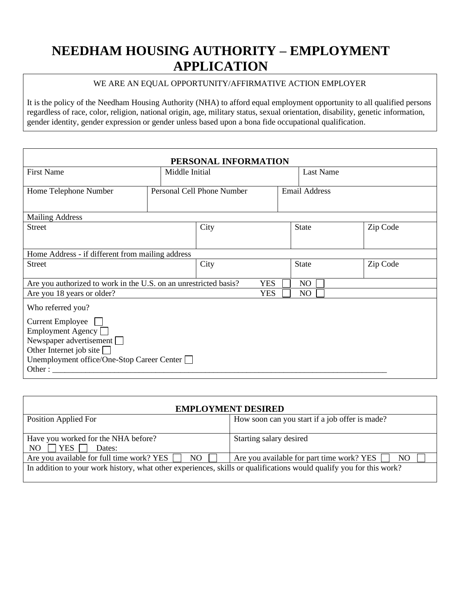# **NEEDHAM HOUSING AUTHORITY – EMPLOYMENT APPLICATION**

#### WE ARE AN EQUAL OPPORTUNITY/AFFIRMATIVE ACTION EMPLOYER

It is the policy of the Needham Housing Authority (NHA) to afford equal employment opportunity to all qualified persons regardless of race, color, religion, national origin, age, military status, sexual orientation, disability, genetic information, gender identity, gender expression or gender unless based upon a bona fide occupational qualification.

| PERSONAL INFORMATION                                             |                                                  |                            |            |                      |          |  |  |  |
|------------------------------------------------------------------|--------------------------------------------------|----------------------------|------------|----------------------|----------|--|--|--|
| <b>First Name</b>                                                | Middle Initial                                   |                            |            | Last Name            |          |  |  |  |
| Home Telephone Number                                            |                                                  | Personal Cell Phone Number |            | <b>Email Address</b> |          |  |  |  |
| <b>Mailing Address</b>                                           |                                                  |                            |            |                      |          |  |  |  |
| <b>Street</b>                                                    |                                                  | City                       |            | <b>State</b>         | Zip Code |  |  |  |
|                                                                  | Home Address - if different from mailing address |                            |            |                      |          |  |  |  |
| <b>Street</b>                                                    |                                                  | City                       |            | <b>State</b>         | Zip Code |  |  |  |
| Are you authorized to work in the U.S. on an unrestricted basis? |                                                  |                            | <b>YES</b> | N <sub>O</sub>       |          |  |  |  |
| Are you 18 years or older?<br><b>YES</b><br>N <sub>O</sub>       |                                                  |                            |            |                      |          |  |  |  |
| Who referred you?                                                |                                                  |                            |            |                      |          |  |  |  |
| <b>Current Employee</b>                                          |                                                  |                            |            |                      |          |  |  |  |
| Employment Agency $\Box$                                         |                                                  |                            |            |                      |          |  |  |  |
| Newspaper advertisement [                                        |                                                  |                            |            |                      |          |  |  |  |
| Other Internet job site                                          |                                                  |                            |            |                      |          |  |  |  |
| Unemployment office/One-Stop Career Center □                     |                                                  |                            |            |                      |          |  |  |  |
| Other : $\frac{1}{\sqrt{1-\frac{1}{2}}\cdot\frac{1}{2}}$         |                                                  |                            |            |                      |          |  |  |  |

| <b>EMPLOYMENT DESIRED</b>                                                                                           |                                                 |  |  |  |  |  |
|---------------------------------------------------------------------------------------------------------------------|-------------------------------------------------|--|--|--|--|--|
| Position Applied For                                                                                                | How soon can you start if a job offer is made?  |  |  |  |  |  |
| Have you worked for the NHA before?<br>YES [<br>NO<br>Dates:                                                        | Starting salary desired                         |  |  |  |  |  |
| Are you available for full time work? YES $\Box$<br>NO                                                              | Are you available for part time work? YES<br>NO |  |  |  |  |  |
| In addition to your work history, what other experiences, skills or qualifications would qualify you for this work? |                                                 |  |  |  |  |  |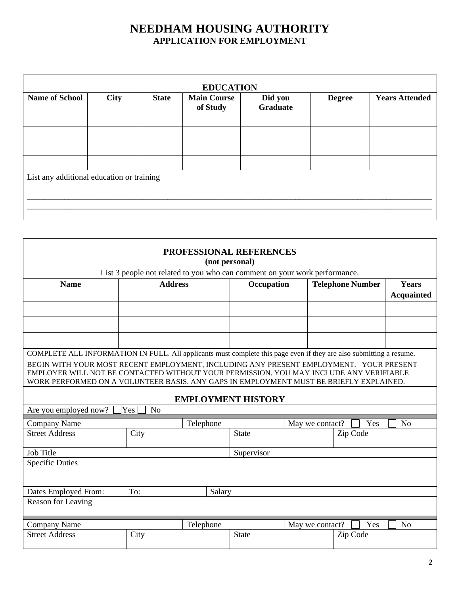### **NEEDHAM HOUSING AUTHORITY APPLICATION FOR EMPLOYMENT**

| <b>EDUCATION</b>                          |             |              |                                |                            |               |                       |  |
|-------------------------------------------|-------------|--------------|--------------------------------|----------------------------|---------------|-----------------------|--|
| <b>Name of School</b>                     | <b>City</b> | <b>State</b> | <b>Main Course</b><br>of Study | Did you<br><b>Graduate</b> | <b>Degree</b> | <b>Years Attended</b> |  |
|                                           |             |              |                                |                            |               |                       |  |
|                                           |             |              |                                |                            |               |                       |  |
|                                           |             |              |                                |                            |               |                       |  |
|                                           |             |              |                                |                            |               |                       |  |
| List any additional education or training |             |              |                                |                            |               |                       |  |
|                                           |             |              |                                |                            |               |                       |  |

| <b>PROFESSIONAL REFERENCES</b><br>(not personal)                                                                                                                                                                                                                           |                              |           |                                       |                 |          |                                   |  |
|----------------------------------------------------------------------------------------------------------------------------------------------------------------------------------------------------------------------------------------------------------------------------|------------------------------|-----------|---------------------------------------|-----------------|----------|-----------------------------------|--|
| List 3 people not related to you who can comment on your work performance.                                                                                                                                                                                                 |                              |           |                                       |                 |          |                                   |  |
| <b>Name</b>                                                                                                                                                                                                                                                                | <b>Address</b>               |           | Occupation<br><b>Telephone Number</b> |                 |          | <b>Years</b><br><b>Acquainted</b> |  |
|                                                                                                                                                                                                                                                                            |                              |           |                                       |                 |          |                                   |  |
|                                                                                                                                                                                                                                                                            |                              |           |                                       |                 |          |                                   |  |
|                                                                                                                                                                                                                                                                            |                              |           |                                       |                 |          |                                   |  |
| COMPLETE ALL INFORMATION IN FULL. All applicants must complete this page even if they are also submitting a resume.                                                                                                                                                        |                              |           |                                       |                 |          |                                   |  |
| BEGIN WITH YOUR MOST RECENT EMPLOYMENT, INCLUDING ANY PRESENT EMPLOYMENT. YOUR PRESENT<br>EMPLOYER WILL NOT BE CONTACTED WITHOUT YOUR PERMISSION. YOU MAY INCLUDE ANY VERIFIABLE<br>WORK PERFORMED ON A VOLUNTEER BASIS. ANY GAPS IN EMPLOYMENT MUST BE BRIEFLY EXPLAINED. |                              |           |                                       |                 |          |                                   |  |
| <b>EMPLOYMENT HISTORY</b>                                                                                                                                                                                                                                                  |                              |           |                                       |                 |          |                                   |  |
| Are you employed now?                                                                                                                                                                                                                                                      | <b>Yes</b><br>N <sub>o</sub> |           |                                       |                 |          |                                   |  |
| <b>Company Name</b>                                                                                                                                                                                                                                                        |                              | Telephone |                                       | May we contact? | Yes      | N <sub>o</sub>                    |  |
| <b>Street Address</b>                                                                                                                                                                                                                                                      | City                         |           | <b>State</b>                          |                 | Zip Code |                                   |  |
| Job Title                                                                                                                                                                                                                                                                  |                              |           | Supervisor                            |                 |          |                                   |  |
| <b>Specific Duties</b>                                                                                                                                                                                                                                                     |                              |           |                                       |                 |          |                                   |  |
| Dates Employed From:                                                                                                                                                                                                                                                       | To:                          | Salary    |                                       |                 |          |                                   |  |
| Reason for Leaving                                                                                                                                                                                                                                                         |                              |           |                                       |                 |          |                                   |  |
| <b>Company Name</b>                                                                                                                                                                                                                                                        |                              | Telephone |                                       | May we contact? | Yes      | N <sub>o</sub>                    |  |
| <b>Street Address</b>                                                                                                                                                                                                                                                      | City                         |           | <b>State</b>                          |                 | Zip Code |                                   |  |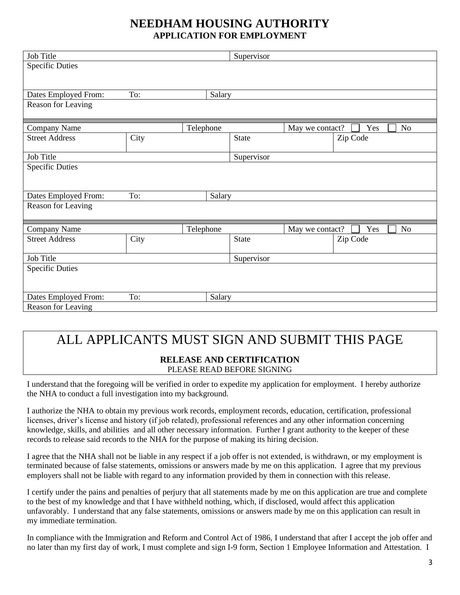#### **NEEDHAM HOUSING AUTHORITY APPLICATION FOR EMPLOYMENT**

| Job Title                    |      |           | Supervisor   |                 |          |                |
|------------------------------|------|-----------|--------------|-----------------|----------|----------------|
| <b>Specific Duties</b>       |      |           |              |                 |          |                |
|                              |      |           |              |                 |          |                |
| Dates Employed From:         | To:  | Salary    |              |                 |          |                |
| Reason for Leaving           |      |           |              |                 |          |                |
|                              |      |           |              |                 |          |                |
| Company Name                 |      | Telephone |              | May we contact? | Yes      | N <sub>o</sub> |
| <b>Street Address</b>        | City |           | <b>State</b> |                 | Zip Code |                |
|                              |      |           |              |                 |          |                |
| Job Title                    |      |           | Supervisor   |                 |          |                |
| <b>Specific Duties</b>       |      |           |              |                 |          |                |
|                              |      |           |              |                 |          |                |
| Dates Employed From:         | To:  |           |              |                 |          |                |
| Salary<br>Reason for Leaving |      |           |              |                 |          |                |
|                              |      |           |              |                 |          |                |
| <b>Company Name</b>          |      | Telephone |              | May we contact? | Yes      | N <sub>o</sub> |
| <b>Street Address</b>        | City |           | <b>State</b> |                 | Zip Code |                |
|                              |      |           |              |                 |          |                |
| Job Title                    |      |           | Supervisor   |                 |          |                |
| <b>Specific Duties</b>       |      |           |              |                 |          |                |
|                              |      |           |              |                 |          |                |
|                              |      |           |              |                 |          |                |
| Dates Employed From:         | To:  | Salary    |              |                 |          |                |
| Reason for Leaving           |      |           |              |                 |          |                |

## ALL APPLICANTS MUST SIGN AND SUBMIT THIS PAGE

#### **RELEASE AND CERTIFICATION** PLEASE READ BEFORE SIGNING

I understand that the foregoing will be verified in order to expedite my application for employment. I hereby authorize the NHA to conduct a full investigation into my background.

I authorize the NHA to obtain my previous work records, employment records, education, certification, professional licenses, driver's license and history (if job related), professional references and any other information concerning knowledge, skills, and abilities and all other necessary information. Further I grant authority to the keeper of these records to release said records to the NHA for the purpose of making its hiring decision.

I agree that the NHA shall not be liable in any respect if a job offer is not extended, is withdrawn, or my employment is terminated because of false statements, omissions or answers made by me on this application. I agree that my previous employers shall not be liable with regard to any information provided by them in connection with this release.

I certify under the pains and penalties of perjury that all statements made by me on this application are true and complete to the best of my knowledge and that I have withheld nothing, which, if disclosed, would affect this application unfavorably. I understand that any false statements, omissions or answers made by me on this application can result in my immediate termination.

In compliance with the Immigration and Reform and Control Act of 1986, I understand that after I accept the job offer and no later than my first day of work, I must complete and sign I-9 form, Section 1 Employee Information and Attestation. I